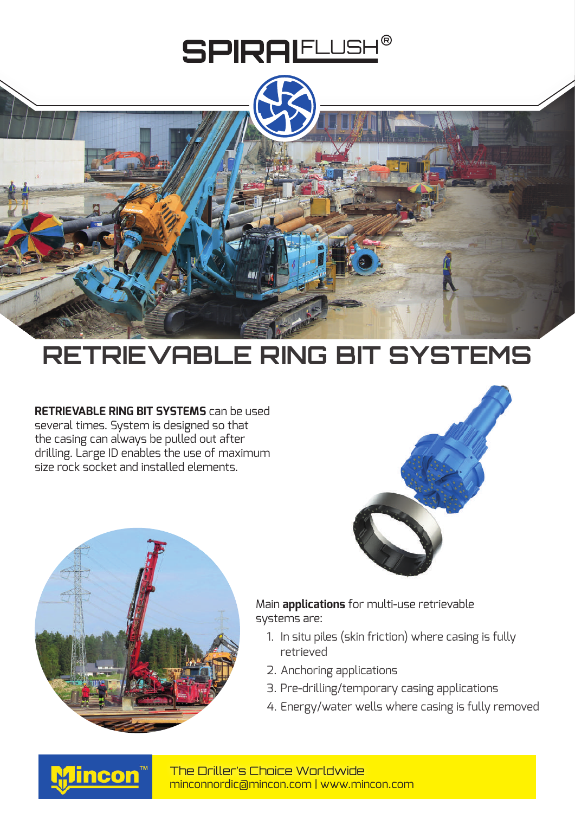



## **RETRIEVABLE RING BIT SYSTEMS**

**RETRIEVABLE RING BIT SYSTEMS** can be used several times. System is designed so that the casing can always be pulled out after drilling. Large ID enables the use of maximum size rock socket and installed elements.





Main **applications** for multi-use retrievable systems are:

- 1. In situ piles (skin friction) where casing is fully retrieved
- 2. Anchoring applications
- 3. Pre-drilling/temporary casing applications
- 4. Energy/water wells where casing is fully removed



minconnordic@mincon.com | www.mincon.com The Driller's Choice Worldwide